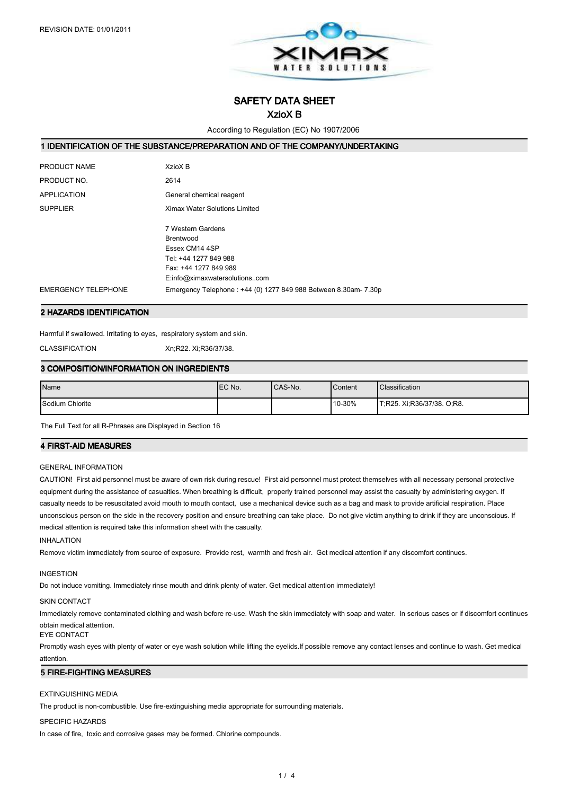

# SAFETY DATA SHEET

# XzioX B

According to Regulation (EC) No 1907/2006

### 1 IDENTIFICATION OF THE SUBSTANCE/PREPARATION AND OF THE COMPANY/UNDERTAKING

| PRODUCT NAME               | XzioX B                                                         |
|----------------------------|-----------------------------------------------------------------|
| PRODUCT NO.                | 2614                                                            |
| <b>APPLICATION</b>         | General chemical reagent                                        |
| <b>SUPPLIER</b>            | Ximax Water Solutions Limited                                   |
|                            | 7 Western Gardens                                               |
|                            | Brentwood                                                       |
|                            | Essex CM14 4SP                                                  |
|                            | Tel: +44 1277 849 988                                           |
|                            | Fax: +44 1277 849 989                                           |
|                            | E:info@ximaxwatersolutionscom                                   |
| <b>EMERGENCY TELEPHONE</b> | Emergency Telephone: +44 (0) 1277 849 988 Between 8.30am- 7.30p |

#### 2 HAZARDS IDENTIFICATION

Harmful if swallowed. Irritating to eyes, respiratory system and skin.

CLASSIFICATION Xn;R22. Xi;R36/37/38.

## 3 COMPOSITION/INFORMATION ON INGREDIENTS

| Name            | IEC No. | CAS-No. | Content | <b>Classification</b>      |
|-----------------|---------|---------|---------|----------------------------|
| Sodium Chlorite |         |         | 10-30%  | T;R25. Xi;R36/37/38. O;R8. |

The Full Text for all R-Phrases are Displayed in Section 16

### **4 FIRST-AID MEASURES**

### GENERAL INFORMATION

CAUTION! First aid personnel must be aware of own risk during rescue! First aid personnel must protect themselves with all necessary personal protective equipment during the assistance of casualties. When breathing is difficult, properly trained personnel may assist the casualty by administering oxygen. If casualty needs to be resuscitated avoid mouth to mouth contact, use a mechanical device such as a bag and mask to provide artificial respiration. Place unconscious person on the side in the recovery position and ensure breathing can take place. Do not give victim anything to drink if they are unconscious. If medical attention is required take this information sheet with the casualty.

### INHALATION

Remove victim immediately from source of exposure. Provide rest, warmth and fresh air. Get medical attention if any discomfort continues.

### INGESTION

Do not induce vomiting. Immediately rinse mouth and drink plenty of water. Get medical attention immediately!

#### SKIN CONTACT

Immediately remove contaminated clothing and wash before re-use. Wash the skin immediately with soap and water. In serious cases or if discomfort continues obtain medical attention.

#### EYE CONTACT

Promptly wash eyes with plenty of water or eye wash solution while lifting the eyelids.If possible remove any contact lenses and continue to wash. Get medical attention.

#### **5 FIRE-FIGHTING MEASURES**

### EXTINGUISHING MEDIA

The product is non-combustible. Use fire-extinguishing media appropriate for surrounding materials.

### SPECIFIC HAZARDS

In case of fire, toxic and corrosive gases may be formed. Chlorine compounds.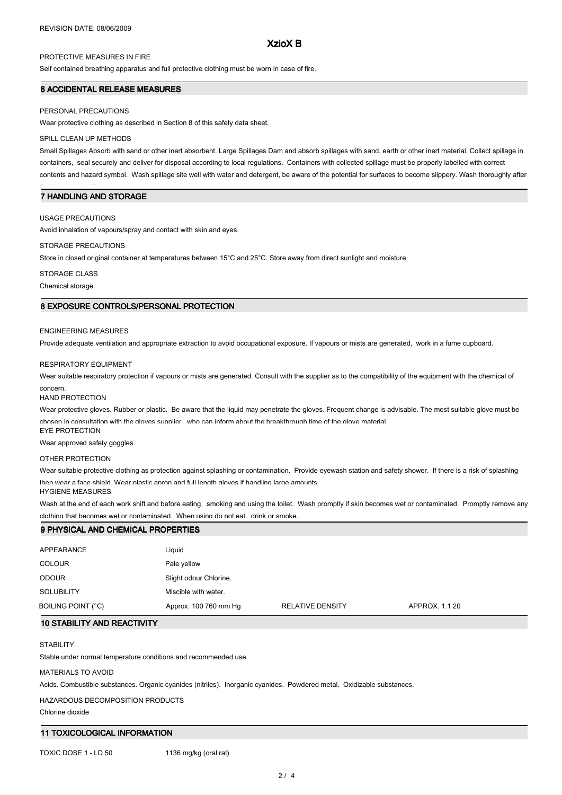## XzioX B

## PROTECTIVE MEASURES IN FIRE

Self contained breathing apparatus and full protective clothing must be worn in case of fire.

### 6 ACCIDENTAL RELEASE MEASURES

#### PERSONAL PRECAUTIONS

Wear protective clothing as described in Section 8 of this safety data sheet.

#### SPILL CLEAN UP METHODS

Small Spillages Absorb with sand or other inert absorbent. Large Spillages Dam and absorb spillages with sand, earth or other inert material. Collect spillage in containers, seal securely and deliver for disposal according to local regulations. Containers with collected spillage must be properly labelled with correct contents and hazard symbol. Wash spillage site well with water and detergent, be aware of the potential for surfaces to become slippery. Wash thoroughly after

## 7 HANDLING AND STORAGE

### USAGE PRECAUTIONS

dealing with a spillage.

Avoid inhalation of vapours/spray and contact with skin and eyes.

#### STORAGE PRECAUTIONS

Store in closed original container at temperatures between 15°C and 25°C. Store away from direct sunlight and moisture

## STORAGE CLASS

Chemical storage.

## 8 EXPOSURE CONTROLS/PERSONAL PROTECTION

#### ENGINEERING MEASURES

Provide adequate ventilation and appropriate extraction to avoid occupational exposure. If vapours or mists are generated, work in a fume cupboard.

#### RESPIRATORY EQUIPMENT

Wear suitable respiratory protection if vapours or mists are generated. Consult with the supplier as to the compatibility of the equipment with the chemical of concern.

#### HAND PROTECTION

Wear protective gloves. Rubber or plastic. Be aware that the liquid may penetrate the gloves. Frequent change is advisable. The most suitable glove must be chosen in consultation with the gloves supplier, who can inform about the breakthrough time of the glove material EYE PROTECTION

Wear approved safety goggles.

### OTHER PROTECTION

Wear suitable protective clothing as protection against splashing or contamination. Provide eyewash station and safety shower. If there is a risk of splashing then wear a face shield. Wear plastic apron and full length gloves if handling large amounts.

HYGIENE MEASURES

Wash at the end of each work shift and before eating, smoking and using the toilet. Wash promptly if skin becomes wet or contaminated. Promptly remove any clothing that becomes wet or contaminated. When using do not eat, drink or smoke.

| 9 PHYSICAL AND CHEMICAL PROPERTIES |                        |                         |                |  |
|------------------------------------|------------------------|-------------------------|----------------|--|
|                                    |                        |                         |                |  |
| APPEARANCE                         | Liquid                 |                         |                |  |
| <b>COLOUR</b>                      | Pale yellow            |                         |                |  |
| <b>ODOUR</b>                       | Slight odour Chlorine. |                         |                |  |
| <b>SOLUBILITY</b>                  | Miscible with water.   |                         |                |  |
| BOILING POINT (°C)                 | Approx. 100 760 mm Hg  | <b>RELATIVE DENSITY</b> | APPROX. 1.1 20 |  |

### 10 STABILITY AND REACTIVITY

### **STABILITY**

Stable under normal temperature conditions and recommended use.

#### MATERIALS TO AVOID

Acids. Combustible substances. Organic cyanides (nitriles). Inorganic cyanides. Powdered metal. Oxidizable substances.

#### HAZARDOUS DECOMPOSITION PRODUCTS

Chlorine dioxide

### 11 TOXICOLOGICAL INFORMATION

TOXIC DOSE 1 - LD 50 1136 mg/kg (oral rat)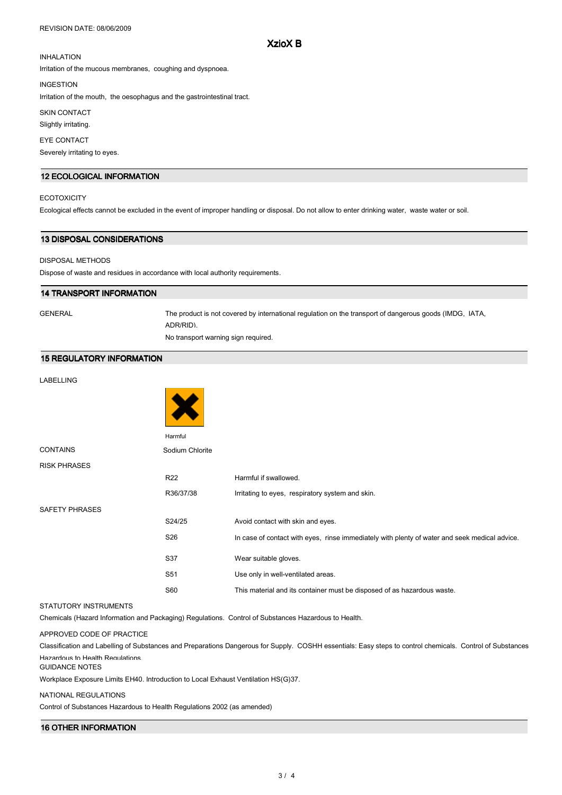#### REVISION DATE: 08/06/2009

## XzioX B

## INHALATION

Irritation of the mucous membranes, coughing and dyspnoea.

INGESTION

Irritation of the mouth, the oesophagus and the gastrointestinal tract.

SKIN CONTACT

Slightly irritating.

### EYE CONTACT

Severely irritating to eyes.

## 12 ECOLOGICAL INFORMATION

## **ECOTOXICITY**

Ecological effects cannot be excluded in the event of improper handling or disposal. Do not allow to enter drinking water, waste water or soil.

### 13 DISPOSAL CONSIDERATIONS

#### DISPOSAL METHODS

Dispose of waste and residues in accordance with local authority requirements.

## 14 TRANSPORT INFORMATION

GENERAL The product is not covered by international regulation on the transport of dangerous goods (IMDG, IATA, ADR/RID).

No transport warning sign required.

 $\overline{a}$   $\overline{a}$ 

## 15 REGULATORY INFORMATION

## LABELLING

|                       | Harmful         |                                                                                               |
|-----------------------|-----------------|-----------------------------------------------------------------------------------------------|
| <b>CONTAINS</b>       | Sodium Chlorite |                                                                                               |
| <b>RISK PHRASES</b>   |                 |                                                                                               |
|                       | <b>R22</b>      | Harmful if swallowed.                                                                         |
|                       | R36/37/38       | Irritating to eyes, respiratory system and skin.                                              |
| <b>SAFETY PHRASES</b> |                 |                                                                                               |
|                       | S24/25          | Avoid contact with skin and eyes.                                                             |
|                       | S <sub>26</sub> | In case of contact with eyes, rinse immediately with plenty of water and seek medical advice. |
|                       | S37             | Wear suitable gloves.                                                                         |
|                       | S <sub>51</sub> | Use only in well-ventilated areas.                                                            |
|                       | <b>S60</b>      | This material and its container must be disposed of as hazardous waste.                       |

## STATUTORY INSTRUMENTS

Chemicals (Hazard Information and Packaging) Regulations. Control of Substances Hazardous to Health.

### APPROVED CODE OF PRACTICE

Classification and Labelling of Substances and Preparations Dangerous for Supply. COSHH essentials: Easy steps to control chemicals. Control of Substances Hazardous to Health Regulations.

#### GUIDANCE NOTES

Workplace Exposure Limits EH40. Introduction to Local Exhaust Ventilation HS(G)37.

### NATIONAL REGULATIONS

Control of Substances Hazardous to Health Regulations 2002 (as amended)

# 16 OTHER INFORMATION